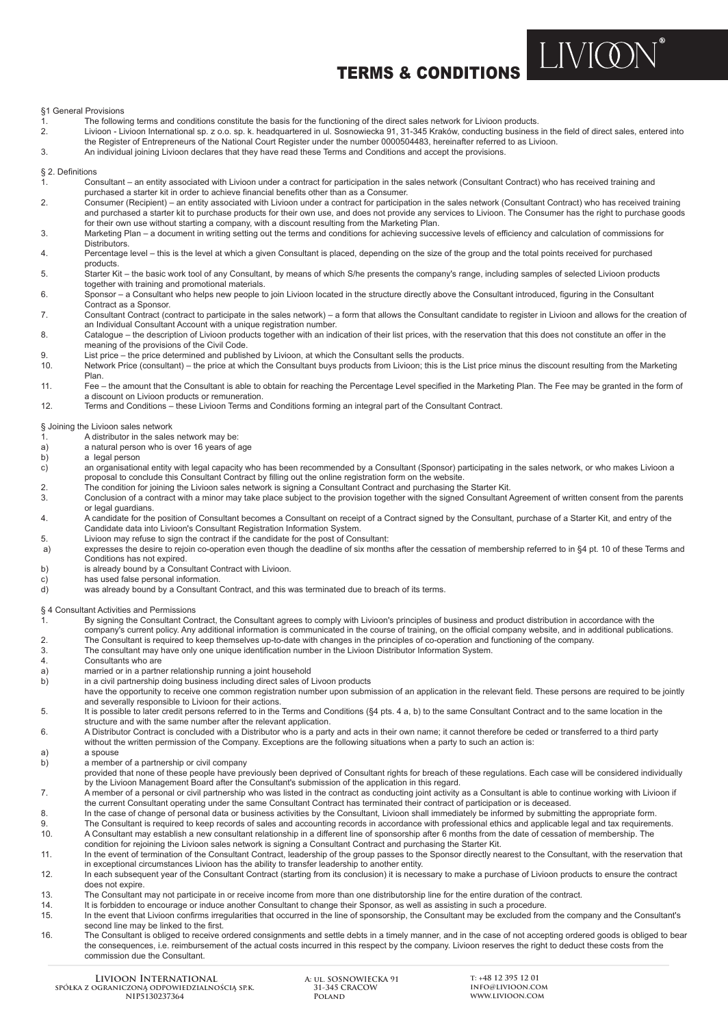# TERMS & CONDITIONS

**LIVION** 

§1 General Provisions

- 1. The following terms and conditions constitute the basis for the functioning of the direct sales network for Livioon products.<br>1. The following terms and conditions constants headquartered in ul. Sosnowiecka 91, 31-345 K
- 2. Livioon Livioon International sp. z o.o. sp. k. headquartered in ul. Sosnowiecka 91, 31-345 Kraków, conducting business in the field of direct sales, entered into the Register of Entrepreneurs of the National Court Register under the number 0000504483, hereinafter referred to as Livioon.<br>An individual ioning Livioon declares that they have read these Terms and Conditions and accept
- 3. An individual joining Livioon declares that they have read these Terms and Conditions and accept the provisions.

#### § 2. Definitions

- 1. Consultant an entity associated with Livioon under a contract for participation in the sales network (Consultant Contract) who has received training and purchased a starter kit in order to achieve financial benefits other than as a Consumer.<br>2. Consumer (Recipient) – an entity associated with Livioon under a contract for participal
- 2. Consumer (Recipient) an entity associated with Livioon under a contract for participation in the sales network (Consultant Contract) who has received training and purchased a starter kit to purchase products for their own use, and does not provide any services to Livioon. The Consumer has the right to purchase goods
- for their own use without starting a company, with a discount resulting from the Marketing Plan.<br>3. Marketing Plan a document in writing setting out the terms and conditions for achieving succe Marketing Plan – a document in writing setting out the terms and conditions for achieving successive levels of efficiency and calculation of commissions for **Distributors**
- 4. Percentage level this is the level at which a given Consultant is placed, depending on the size of the group and the total points received for purchased
- products.<br>5. Starter K 5. Starter Kit – the basic work tool of any Consultant, by means of which S/he presents the company's range, including samples of selected Livioon products together with training and promotional materials.<br>
Sponsor – a Consultant who helps new people to
- Sponsor a Consultant who helps new people to join Livioon located in the structure directly above the Consultant introduced, figuring in the Consultant
- Contract as a Sponsor.<br>7. Consultant Contract (co 7. Consultant Contract (contract to participate in the sales network) – a form that allows the Consultant candidate to register in Livioon and allows for the creation of
- an Individual Consultant Account with a unique registration number.<br>8. Catalogue the description of Livioon products together with an ind Catalogue – the description of Livioon products together with an indication of their list prices, with the reservation that this does not constitute an offer in the meaning of the provisions of the Civil Code.<br>1. I ist price – the price determined and publish
- 
- 9. List price the price determined and published by Livioon, at which the Consultant sells the products.<br>10. Network Price (consultant) the price at which the Consultant buys products from Livioon; this is the Network Price (consultant) – the price at which the Consultant buys products from Livioon; this is the List price minus the discount resulting from the Marketing Plan.<br>Fee-
- Fee the amount that the Consultant is able to obtain for reaching the Percentage Level specified in the Marketing Plan. The Fee may be granted in the form of a discount on Livioon products or remuneration.<br>12. Terms and Conditions – these Livioon Terms an
- 12. Terms and Conditions these Livioon Terms and Conditions forming an integral part of the Consultant Contract.

### § Joining the Livioon sales network<br>A distributor in the sales

- 1. A distributor in the sales network may be:
- a) a natural person who is over 16 years of age<br>b) a legal person
- b) a legal person<br>c) an organisation an organisational entity with legal capacity who has been recommended by a Consultant (Sponsor) participating in the sales network, or who makes Livioon a proposal to conclude this Consultant Contract by filling out the online registration form on the website.
- 2. The condition for joining the Livioon sales network is signing a Consultant Contract and purchasing the Starter Kit.<br>3. Conclusion of a contract with a minor may take place subject to the provision together with the sig
- Conclusion of a contract with a minor may take place subject to the provision together with the signed Consultant Agreement of written consent from the parents or legal guardians.<br>4 A candidate for the
- A candidate for the position of Consultant becomes a Consultant on receipt of a Contract signed by the Consultant, purchase of a Starter Kit, and entry of the Candidate data into Livioon's Consultant Registration Information System.
- 5. Livioon may refuse to sign the contract if the candidate for the post of Consultant:
- a) expresses the desire to rejoin co-operation even though the deadline of six months after the cessation of membership referred to in §4 pt. 10 of these Terms and Conditions has not expired.<br>b) is already bound by a Const
- is already bound by a Consultant Contract with Livioon.
- c) has used false personal information.
- d) was already bound by a Consultant Contract, and this was terminated due to breach of its terms.

- § 4 Consultant Activities and Permissions By signing the Consultant Contract, the Consultant agrees to comply with Livioon's principles of business and product distribution in accordance with the company's current policy. Any additional information is communicated in the course of training, on the official company website, and in additional publications.<br>2. The Consultant is required to keep themselves up-to-date w
- 2. The Consultant is required to keep themselves up-to-date with changes in the principles of co-operation and functioning of the company.
- 3. The consultant may have only one unique identification number in the Livioon Distributor Information System.
- Consultants who are
- a) married or in a partner relationship running a joint household<br>b) in a civil partnership doing business including direct sales of
- in a civil partnership doing business including direct sales of Livoon products
- have the opportunity to receive one common registration number upon submission of an application in the relevant field. These persons are required to be jointly
- and severally responsible to Livioon for their actions.<br>5. It is possible to later credit persons referred to in the It is possible to later credit persons referred to in the Terms and Conditions (§4 pts. 4 a, b) to the same Consultant Contract and to the same location in the structure and with the same number after the relevant application.

6. A Distributor Contract is concluded with a Distributor who is a party and acts in their own name; it cannot therefore be ceded or transferred to a third party without the written permission of the Company. Exceptions are the following situations when a party to such an action is:<br>a spouse

- a) a spouse<br>b) a membe
- a member of a partnership or civil company
- provided that none of these people have previously been deprived of Consultant rights for breach of these regulations. Each case will be considered individually by the Livioon Management Board after the Consultant's submission of the application in this regard.<br>7. A member of a personal or civil partnership who was listed in the contract as conducting ioint activity
- 7. A member of a personal or civil partnership who was listed in the contract as conducting joint activity as a Consultant is able to continue working with Livioon if the current Consultant operating under the same Consultant Contract has terminated their contract of participation or is deceased.<br>In the case of change of personal data or business activities by the Consultant Livioon sha
- 8. In the case of change of personal data or business activities by the Consultant, Livioon shall immediately be informed by submitting the appropriate form.<br>The Consultant is required to keep records of sales and accounti
- The Consultant is required to keep records of sales and accounting records in accordance with professional ethics and applicable legal and tax requirements. 10. A Consultant may establish a new consultant relationship in a different line of sponsorship after 6 months from the date of cessation of membership. The condition for rejoining the Livioon sales network is signing a Consultant Contract and purchasing the Starter Kit.<br>In the event of termination of the Consultant Contract Leadership of the group passes to the Sponsor direct
- 11. In the event of termination of the Consultant Contract, leadership of the group passes to the Sponsor directly nearest to the Consultant, with the reservation that in exceptional circumstances Livioon has the ability to transfer leadership to another entity.
- 12. In each subsequent year of the Consultant Contract (starting from its conclusion) it is necessary to make a purchase of Livioon products to ensure the contract does not expire.<br>13 The Consultant
- The Consultant may not participate in or receive income from more than one distributorship line for the entire duration of the contract.
- 14. It is forbidden to encourage or induce another Consultant to change their Sponsor, as well as assisting in such a procedure.
- 15. In the event that Livioon confirms irregularities that occurred in the line of sponsorship, the Consultant may be excluded from the company and the Consultant's second line may be linked to the first.
- 16. The Consultant is obliged to receive ordered consignments and settle debts in a timely manner, and in the case of not accepting ordered goods is obliged to bear the consequences, i.e. reimbursement of the actual costs incurred in this respect by the company. Livioon reserves the right to deduct these costs from the commission due the Consultant.